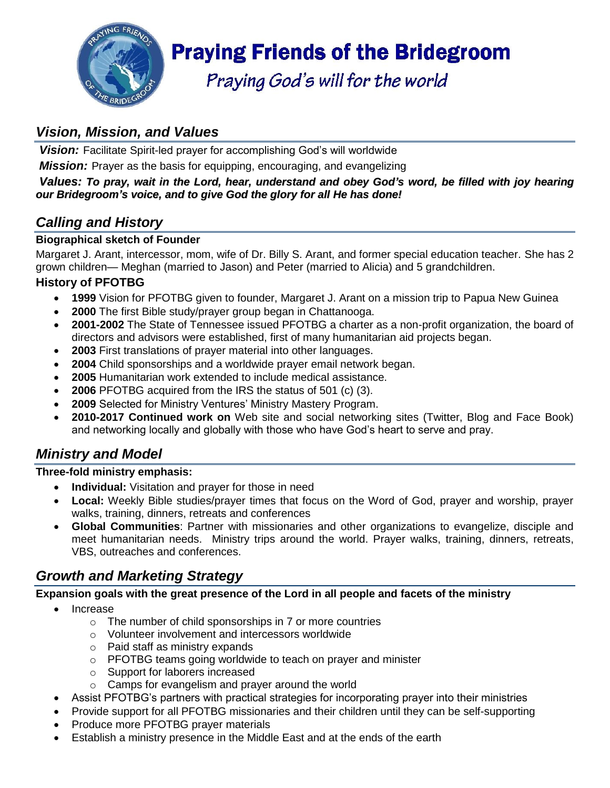

# **Praying Friends of the Bridegroom**

Praying God's will for the world

# *Vision, Mission, and Values*

**Vision:** Facilitate Spirit-led prayer for accomplishing God's will worldwide

*Mission:* Prayer as the basis for equipping, encouraging, and evangelizing

#### Values: To pray, wait in the Lord, hear, understand and obey God's word, be filled with jov hearing *our Bridegroom's voice, and to give God the glory for all He has done!*

# *Calling and History*

#### **Biographical sketch of Founder**

Margaret J. Arant, intercessor, mom, wife of Dr. Billy S. Arant, and former special education teacher. She has 2 grown children— Meghan (married to Jason) and Peter (married to Alicia) and 5 grandchildren.

#### **History of PFOTBG**

- **1999** Vision for PFOTBG given to founder, Margaret J. Arant on a mission trip to Papua New Guinea
- **2000** The first Bible study/prayer group began in Chattanooga.
- **2001-2002** The State of Tennessee issued PFOTBG a charter as a non-profit organization, the board of directors and advisors were established, first of many humanitarian aid projects began.
- **2003** First translations of prayer material into other languages.
- **2004** Child sponsorships and a worldwide prayer email network began.
- **2005** Humanitarian work extended to include medical assistance.
- **2006** PFOTBG acquired from the IRS the status of 501 (c) (3).
- **2009** Selected for Ministry Ventures' Ministry Mastery Program.
- **2010-2017 Continued work on** Web site and social networking sites (Twitter, Blog and Face Book) and networking locally and globally with those who have God's heart to serve and pray.

# *Ministry and Model*

#### **Three-fold ministry emphasis:**

- **Individual:** Visitation and prayer for those in need
- **Local:** Weekly Bible studies/prayer times that focus on the Word of God, prayer and worship, prayer walks, training, dinners, retreats and conferences
- **Global Communities**: Partner with missionaries and other organizations to evangelize, disciple and meet humanitarian needs. Ministry trips around the world. Prayer walks, training, dinners, retreats, VBS, outreaches and conferences.

# *Growth and Marketing Strategy*

#### **Expansion goals with the great presence of the Lord in all people and facets of the ministry**

- Increase
	- o The number of child sponsorships in 7 or more countries
	- o Volunteer involvement and intercessors worldwide
	- o Paid staff as ministry expands
	- o PFOTBG teams going worldwide to teach on prayer and minister
	- o Support for laborers increased
	- o Camps for evangelism and prayer around the world
- Assist PFOTBG's partners with practical strategies for incorporating prayer into their ministries
- Provide support for all PFOTBG missionaries and their children until they can be self-supporting
- Produce more PFOTBG prayer materials
- Establish a ministry presence in the Middle East and at the ends of the earth